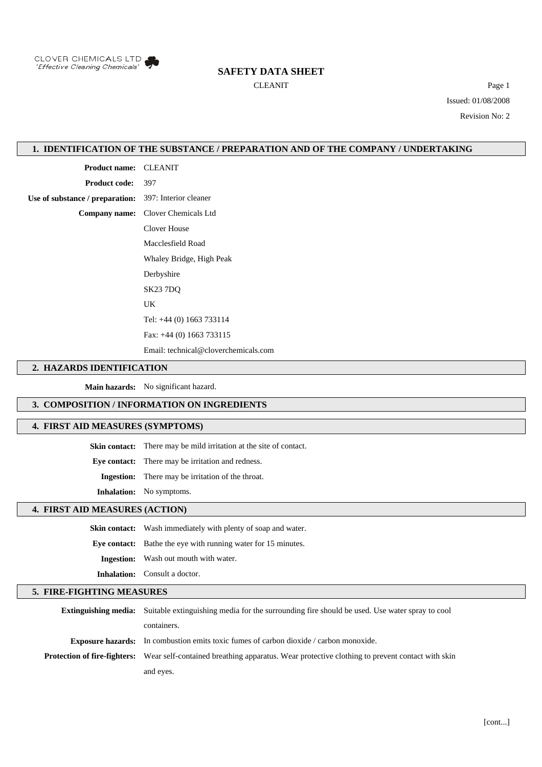

# **SAFETY DATA SHEET**

CLEANIT Page 1 Issued: 01/08/2008 Revision No: 2

### **1. IDENTIFICATION OF THE SUBSTANCE / PREPARATION AND OF THE COMPANY / UNDERTAKING**

**Product name:** CLEANIT

**Product code:** 397

**Use of substance / preparation:** 397: Interior cleaner

**Company name:** Clover Chemicals Ltd

Clover House

Macclesfield Road

Whaley Bridge, High Peak Derbyshire

SK23 7DQ

UK

Tel: +44 (0) 1663 733114 Fax: +44 (0) 1663 733115

Email: technical@cloverchemicals.com

#### **2. HAZARDS IDENTIFICATION**

**Main hazards:** No significant hazard.

#### **3. COMPOSITION / INFORMATION ON INGREDIENTS**

#### **4. FIRST AID MEASURES (SYMPTOMS)**

**Skin contact:** There may be mild irritation at the site of contact.

**Eye contact:** There may be irritation and redness.

**Ingestion:** There may be irritation of the throat.

**Inhalation:** No symptoms.

## **4. FIRST AID MEASURES (ACTION)**

**Skin contact:** Wash immediately with plenty of soap and water. **Eye contact:** Bathe the eye with running water for 15 minutes. **Ingestion:** Wash out mouth with water. **Inhalation:** Consult a doctor.

#### **5. FIRE-FIGHTING MEASURES**

| <b>Extinguishing media:</b> Suitable extinguishing media for the surrounding fire should be used. Use water spray to cool          |
|------------------------------------------------------------------------------------------------------------------------------------|
| containers.                                                                                                                        |
| <b>Exposure hazards:</b> In combustion emits toxic fumes of carbon dioxide / carbon monoxide.                                      |
| <b>Protection of fire-fighters:</b> Wear self-contained breathing apparatus. Wear protective clothing to prevent contact with skin |
| and eyes.                                                                                                                          |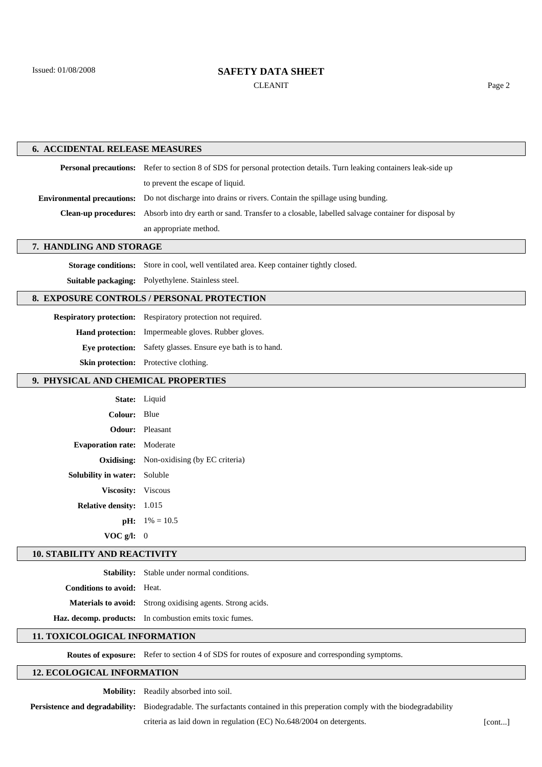# **SAFETY DATA SHEET** CLEANIT Page 2

| <b>6. ACCIDENTAL RELEASE MEASURES</b>      |                                                                                                                       |        |
|--------------------------------------------|-----------------------------------------------------------------------------------------------------------------------|--------|
|                                            | Personal precautions: Refer to section 8 of SDS for personal protection details. Turn leaking containers leak-side up |        |
|                                            | to prevent the escape of liquid.                                                                                      |        |
| <b>Environmental precautions:</b>          | Do not discharge into drains or rivers. Contain the spillage using bunding.                                           |        |
| <b>Clean-up procedures:</b>                | Absorb into dry earth or sand. Transfer to a closable, labelled salvage container for disposal by                     |        |
|                                            | an appropriate method.                                                                                                |        |
| 7. HANDLING AND STORAGE                    |                                                                                                                       |        |
| <b>Storage conditions:</b>                 | Store in cool, well ventilated area. Keep container tightly closed.                                                   |        |
| Suitable packaging:                        | Polyethylene. Stainless steel.                                                                                        |        |
| 8. EXPOSURE CONTROLS / PERSONAL PROTECTION |                                                                                                                       |        |
|                                            | Respiratory protection: Respiratory protection not required.                                                          |        |
|                                            | Hand protection: Impermeable gloves. Rubber gloves.                                                                   |        |
| Eye protection:                            | Safety glasses. Ensure eye bath is to hand.                                                                           |        |
|                                            | Skin protection: Protective clothing.                                                                                 |        |
| 9. PHYSICAL AND CHEMICAL PROPERTIES        |                                                                                                                       |        |
|                                            | State: Liquid                                                                                                         |        |
| <b>Colour:</b>                             | Blue                                                                                                                  |        |
| Odour:                                     | Pleasant                                                                                                              |        |
| <b>Evaporation rate:</b>                   | Moderate                                                                                                              |        |
| Oxidising:                                 | Non-oxidising (by EC criteria)                                                                                        |        |
| Solubility in water:                       | Soluble                                                                                                               |        |
| Viscosity: Viscous                         |                                                                                                                       |        |
| Relative density: 1.015                    |                                                                                                                       |        |
|                                            | <b>pH:</b> $1\% = 10.5$                                                                                               |        |
| $VOC g/I$ : 0                              |                                                                                                                       |        |
| <b>10. STABILITY AND REACTIVITY</b>        |                                                                                                                       |        |
|                                            | Stability: Stable under normal conditions.                                                                            |        |
| <b>Conditions to avoid:</b> Heat.          |                                                                                                                       |        |
|                                            | Materials to avoid: Strong oxidising agents. Strong acids.                                                            |        |
|                                            | Haz. decomp. products: In combustion emits toxic fumes.                                                               |        |
| 11. TOXICOLOGICAL INFORMATION              |                                                                                                                       |        |
|                                            | Routes of exposure: Refer to section 4 of SDS for routes of exposure and corresponding symptoms.                      |        |
| <b>12. ECOLOGICAL INFORMATION</b>          |                                                                                                                       |        |
|                                            | Mobility: Readily absorbed into soil.                                                                                 |        |
| Persistence and degradability:             | Biodegradable. The surfactants contained in this preperation comply with the biodegradability                         |        |
|                                            | criteria as laid down in regulation (EC) No.648/2004 on detergents.                                                   | [cont] |